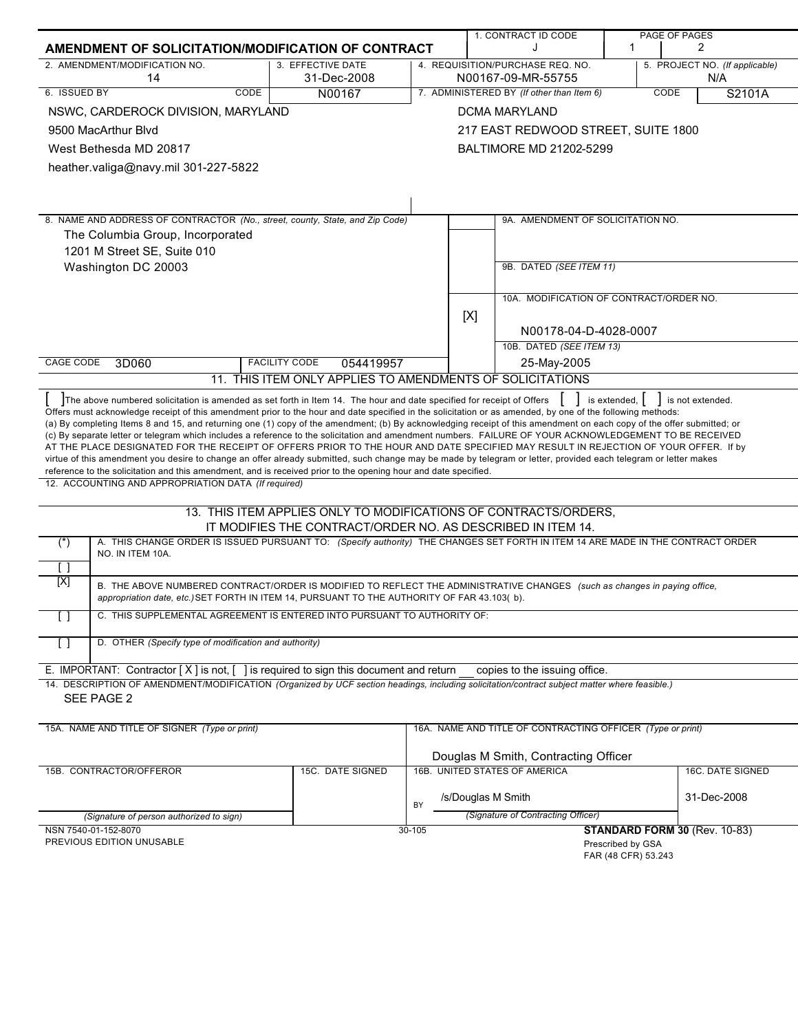|                                                                                                                                                                                                                                                                                                                                                                                                                                                                                                                                                                                                                                                                                                                                                                                                      |                                                                                                                                 |        | 1. CONTRACT ID CODE                                        |    | PAGE OF PAGES                         |
|------------------------------------------------------------------------------------------------------------------------------------------------------------------------------------------------------------------------------------------------------------------------------------------------------------------------------------------------------------------------------------------------------------------------------------------------------------------------------------------------------------------------------------------------------------------------------------------------------------------------------------------------------------------------------------------------------------------------------------------------------------------------------------------------------|---------------------------------------------------------------------------------------------------------------------------------|--------|------------------------------------------------------------|----|---------------------------------------|
| AMENDMENT OF SOLICITATION/MODIFICATION OF CONTRACT                                                                                                                                                                                                                                                                                                                                                                                                                                                                                                                                                                                                                                                                                                                                                   |                                                                                                                                 |        |                                                            | -1 | 2                                     |
| 2. AMENDMENT/MODIFICATION NO.<br>14                                                                                                                                                                                                                                                                                                                                                                                                                                                                                                                                                                                                                                                                                                                                                                  | 3. EFFECTIVE DATE<br>31-Dec-2008                                                                                                |        | 4. REQUISITION/PURCHASE REQ. NO.<br>N00167-09-MR-55755     |    | 5. PROJECT NO. (If applicable)<br>N/A |
| 6. ISSUED BY<br><b>CODE</b>                                                                                                                                                                                                                                                                                                                                                                                                                                                                                                                                                                                                                                                                                                                                                                          | N00167                                                                                                                          |        | 7. ADMINISTERED BY (If other than Item 6)                  |    | <b>CODE</b><br>S2101A                 |
| NSWC, CARDEROCK DIVISION, MARYLAND                                                                                                                                                                                                                                                                                                                                                                                                                                                                                                                                                                                                                                                                                                                                                                   |                                                                                                                                 |        | <b>DCMA MARYLAND</b>                                       |    |                                       |
| 9500 MacArthur Blvd                                                                                                                                                                                                                                                                                                                                                                                                                                                                                                                                                                                                                                                                                                                                                                                  |                                                                                                                                 |        | 217 EAST REDWOOD STREET, SUITE 1800                        |    |                                       |
| West Bethesda MD 20817                                                                                                                                                                                                                                                                                                                                                                                                                                                                                                                                                                                                                                                                                                                                                                               |                                                                                                                                 |        | BALTIMORE MD 21202-5299                                    |    |                                       |
| heather.valiga@navy.mil 301-227-5822                                                                                                                                                                                                                                                                                                                                                                                                                                                                                                                                                                                                                                                                                                                                                                 |                                                                                                                                 |        |                                                            |    |                                       |
|                                                                                                                                                                                                                                                                                                                                                                                                                                                                                                                                                                                                                                                                                                                                                                                                      |                                                                                                                                 |        |                                                            |    |                                       |
|                                                                                                                                                                                                                                                                                                                                                                                                                                                                                                                                                                                                                                                                                                                                                                                                      |                                                                                                                                 |        |                                                            |    |                                       |
|                                                                                                                                                                                                                                                                                                                                                                                                                                                                                                                                                                                                                                                                                                                                                                                                      |                                                                                                                                 |        |                                                            |    |                                       |
| 8. NAME AND ADDRESS OF CONTRACTOR (No., street, county, State, and Zip Code)                                                                                                                                                                                                                                                                                                                                                                                                                                                                                                                                                                                                                                                                                                                         |                                                                                                                                 |        | 9A. AMENDMENT OF SOLICITATION NO.                          |    |                                       |
| The Columbia Group, Incorporated                                                                                                                                                                                                                                                                                                                                                                                                                                                                                                                                                                                                                                                                                                                                                                     |                                                                                                                                 |        |                                                            |    |                                       |
| 1201 M Street SE, Suite 010<br>Washington DC 20003                                                                                                                                                                                                                                                                                                                                                                                                                                                                                                                                                                                                                                                                                                                                                   |                                                                                                                                 |        | 9B. DATED (SEE ITEM 11)                                    |    |                                       |
|                                                                                                                                                                                                                                                                                                                                                                                                                                                                                                                                                                                                                                                                                                                                                                                                      |                                                                                                                                 |        |                                                            |    |                                       |
|                                                                                                                                                                                                                                                                                                                                                                                                                                                                                                                                                                                                                                                                                                                                                                                                      |                                                                                                                                 |        | 10A. MODIFICATION OF CONTRACT/ORDER NO.                    |    |                                       |
|                                                                                                                                                                                                                                                                                                                                                                                                                                                                                                                                                                                                                                                                                                                                                                                                      |                                                                                                                                 |        |                                                            |    |                                       |
|                                                                                                                                                                                                                                                                                                                                                                                                                                                                                                                                                                                                                                                                                                                                                                                                      |                                                                                                                                 |        | [X]<br>N00178-04-D-4028-0007                               |    |                                       |
|                                                                                                                                                                                                                                                                                                                                                                                                                                                                                                                                                                                                                                                                                                                                                                                                      |                                                                                                                                 |        | 10B. DATED (SEE ITEM 13)                                   |    |                                       |
| CAGE CODE<br>3D060                                                                                                                                                                                                                                                                                                                                                                                                                                                                                                                                                                                                                                                                                                                                                                                   | <b>FACILITY CODE</b><br>054419957                                                                                               |        | 25-May-2005                                                |    |                                       |
|                                                                                                                                                                                                                                                                                                                                                                                                                                                                                                                                                                                                                                                                                                                                                                                                      | 11. THIS ITEM ONLY APPLIES TO AMENDMENTS OF SOLICITATIONS                                                                       |        |                                                            |    |                                       |
| The above numbered solicitation is amended as set forth in Item 14. The hour and date specified for receipt of Offers<br>is extended,  <br>is not extended.<br>Offers must acknowledge receipt of this amendment prior to the hour and date specified in the solicitation or as amended, by one of the following methods:<br>(a) By completing Items 8 and 15, and returning one (1) copy of the amendment; (b) By acknowledging receipt of this amendment on each copy of the offer submitted; or<br>(c) By separate letter or telegram which includes a reference to the solicitation and amendment numbers. FAILURE OF YOUR ACKNOWLEDGEMENT TO BE RECEIVED<br>AT THE PLACE DESIGNATED FOR THE RECEIPT OF OFFERS PRIOR TO THE HOUR AND DATE SPECIFIED MAY RESULT IN REJECTION OF YOUR OFFER. If by |                                                                                                                                 |        |                                                            |    |                                       |
| virtue of this amendment you desire to change an offer already submitted, such change may be made by telegram or letter, provided each telegram or letter makes<br>reference to the solicitation and this amendment, and is received prior to the opening hour and date specified.                                                                                                                                                                                                                                                                                                                                                                                                                                                                                                                   |                                                                                                                                 |        |                                                            |    |                                       |
| 12. ACCOUNTING AND APPROPRIATION DATA (If required)                                                                                                                                                                                                                                                                                                                                                                                                                                                                                                                                                                                                                                                                                                                                                  |                                                                                                                                 |        |                                                            |    |                                       |
|                                                                                                                                                                                                                                                                                                                                                                                                                                                                                                                                                                                                                                                                                                                                                                                                      |                                                                                                                                 |        |                                                            |    |                                       |
|                                                                                                                                                                                                                                                                                                                                                                                                                                                                                                                                                                                                                                                                                                                                                                                                      | 13. THIS ITEM APPLIES ONLY TO MODIFICATIONS OF CONTRACTS/ORDERS,<br>IT MODIFIES THE CONTRACT/ORDER NO. AS DESCRIBED IN ITEM 14. |        |                                                            |    |                                       |
| A. THIS CHANGE ORDER IS ISSUED PURSUANT TO: (Specify authority) THE CHANGES SET FORTH IN ITEM 14 ARE MADE IN THE CONTRACT ORDER<br>$(\dot{a})$                                                                                                                                                                                                                                                                                                                                                                                                                                                                                                                                                                                                                                                       |                                                                                                                                 |        |                                                            |    |                                       |
| NO. IN ITEM 10A.                                                                                                                                                                                                                                                                                                                                                                                                                                                                                                                                                                                                                                                                                                                                                                                     |                                                                                                                                 |        |                                                            |    |                                       |
| []<br>[X]                                                                                                                                                                                                                                                                                                                                                                                                                                                                                                                                                                                                                                                                                                                                                                                            |                                                                                                                                 |        |                                                            |    |                                       |
| B. THE ABOVE NUMBERED CONTRACT/ORDER IS MODIFIED TO REFLECT THE ADMINISTRATIVE CHANGES (such as changes in paying office,<br>appropriation date, etc.) SET FORTH IN ITEM 14, PURSUANT TO THE AUTHORITY OF FAR 43.103(b).                                                                                                                                                                                                                                                                                                                                                                                                                                                                                                                                                                             |                                                                                                                                 |        |                                                            |    |                                       |
| $\lceil$ $\rceil$<br>C. THIS SUPPLEMENTAL AGREEMENT IS ENTERED INTO PURSUANT TO AUTHORITY OF:                                                                                                                                                                                                                                                                                                                                                                                                                                                                                                                                                                                                                                                                                                        |                                                                                                                                 |        |                                                            |    |                                       |
| D. OTHER (Specify type of modification and authority)<br>$\Box$                                                                                                                                                                                                                                                                                                                                                                                                                                                                                                                                                                                                                                                                                                                                      |                                                                                                                                 |        |                                                            |    |                                       |
| E. IMPORTANT: Contractor $[X]$ is not, $[$ ] is required to sign this document and return                                                                                                                                                                                                                                                                                                                                                                                                                                                                                                                                                                                                                                                                                                            |                                                                                                                                 |        | copies to the issuing office.                              |    |                                       |
| 14. DESCRIPTION OF AMENDMENT/MODIFICATION (Organized by UCF section headings, including solicitation/contract subject matter where feasible.)<br>SEE PAGE 2                                                                                                                                                                                                                                                                                                                                                                                                                                                                                                                                                                                                                                          |                                                                                                                                 |        |                                                            |    |                                       |
| 15A. NAME AND TITLE OF SIGNER (Type or print)                                                                                                                                                                                                                                                                                                                                                                                                                                                                                                                                                                                                                                                                                                                                                        |                                                                                                                                 |        | 16A. NAME AND TITLE OF CONTRACTING OFFICER (Type or print) |    |                                       |
|                                                                                                                                                                                                                                                                                                                                                                                                                                                                                                                                                                                                                                                                                                                                                                                                      |                                                                                                                                 |        |                                                            |    |                                       |
|                                                                                                                                                                                                                                                                                                                                                                                                                                                                                                                                                                                                                                                                                                                                                                                                      |                                                                                                                                 |        | Douglas M Smith, Contracting Officer                       |    |                                       |
| 15B. CONTRACTOR/OFFEROR                                                                                                                                                                                                                                                                                                                                                                                                                                                                                                                                                                                                                                                                                                                                                                              | 15C. DATE SIGNED                                                                                                                |        | 16B. UNITED STATES OF AMERICA                              |    | 16C. DATE SIGNED                      |
|                                                                                                                                                                                                                                                                                                                                                                                                                                                                                                                                                                                                                                                                                                                                                                                                      |                                                                                                                                 |        | /s/Douglas M Smith                                         |    | 31-Dec-2008                           |
| (Signature of person authorized to sign)                                                                                                                                                                                                                                                                                                                                                                                                                                                                                                                                                                                                                                                                                                                                                             |                                                                                                                                 | BY     | (Signature of Contracting Officer)                         |    |                                       |
| NSN 7540-01-152-8070                                                                                                                                                                                                                                                                                                                                                                                                                                                                                                                                                                                                                                                                                                                                                                                 |                                                                                                                                 | 30-105 |                                                            |    | STANDARD FORM 30 (Rev. 10-83)         |

NSN 7540-01-152-8070 PREVIOUS EDITION UNUSABLE

Prescribed by GSA FAR (48 CFR) 53.243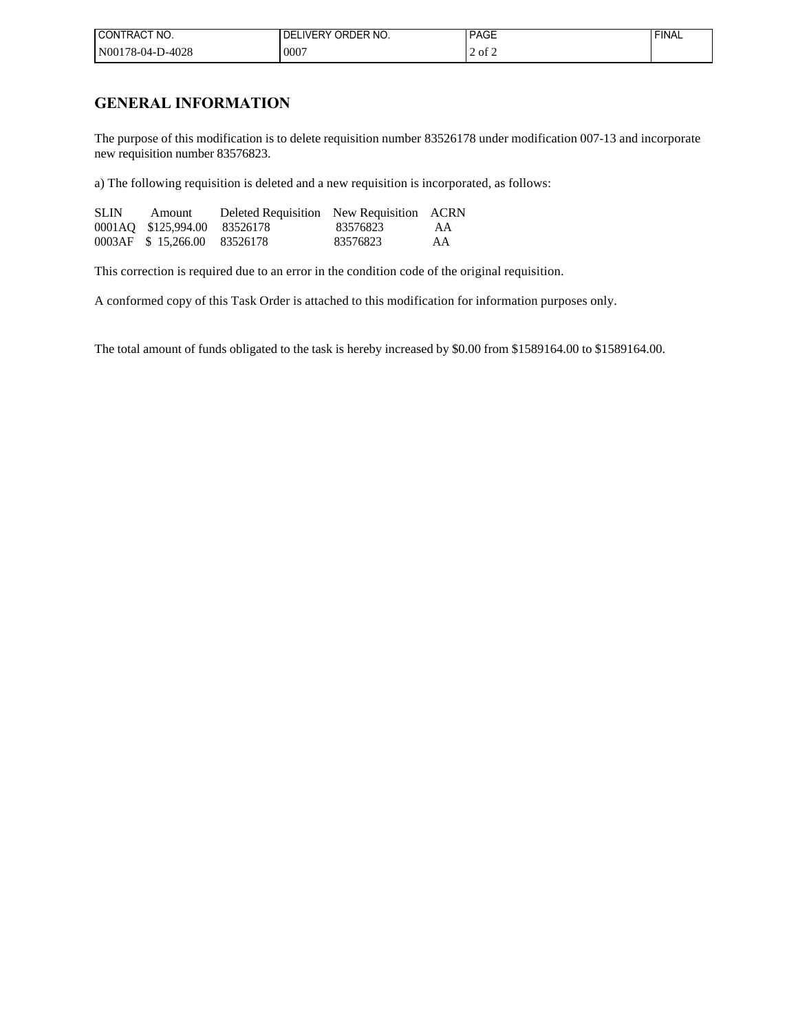| I CONTRACT NO.   | LIVERY ORDER NO.<br>DE | <b>PAGE</b> | <b>FINAL</b> |
|------------------|------------------------|-------------|--------------|
| N00178-04-D-4028 | $000^{-}$              | . of 2      |              |

## **GENERAL INFORMATION**

The purpose of this modification is to delete requisition number 83526178 under modification 007-13 and incorporate new requisition number 83576823.

a) The following requisition is deleted and a new requisition is incorporated, as follows:

| <b>SLIN</b> | Amount                       | Deleted Requisition New Requisition ACRN |          |    |
|-------------|------------------------------|------------------------------------------|----------|----|
|             | 0001AQ \$125,994.00 83526178 |                                          | 83576823 | AA |
|             | 0003AF \$15,266.00 83526178  |                                          | 83576823 | AA |

This correction is required due to an error in the condition code of the original requisition.

A conformed copy of this Task Order is attached to this modification for information purposes only.

The total amount of funds obligated to the task is hereby increased by \$0.00 from \$1589164.00 to \$1589164.00.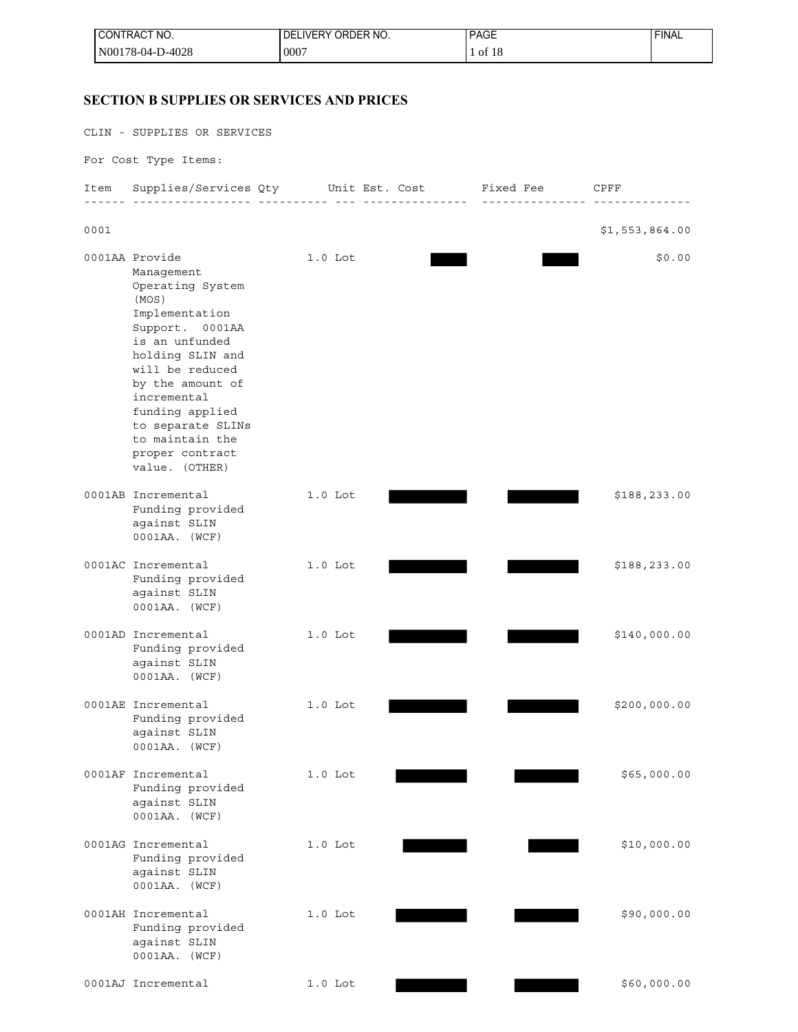| <b>I CONTRACT NO.</b> | LIVERY ORDER NO.<br>DE. | <b>PAGE</b><br>___ | 'FINAL |
|-----------------------|-------------------------|--------------------|--------|
| N00178-04-D-4028      | 0007                    | of $18$            |        |

## **SECTION B SUPPLIES OR SERVICES AND PRICES**

CLIN - SUPPLIES OR SERVICES

For Cost Type Items:

| Item | Supplies/Services Qty                                                                                                                                                                                                                                                                         |           | Unit Est. Cost | Fixed Fee | CPFF           |
|------|-----------------------------------------------------------------------------------------------------------------------------------------------------------------------------------------------------------------------------------------------------------------------------------------------|-----------|----------------|-----------|----------------|
| 0001 |                                                                                                                                                                                                                                                                                               |           |                |           | \$1,553,864.00 |
|      | 0001AA Provide<br>Management<br>Operating System<br>(MOS)<br>Implementation<br>Support.<br>0001AA<br>is an unfunded<br>holding SLIN and<br>will be reduced<br>by the amount of<br>incremental<br>funding applied<br>to separate SLINs<br>to maintain the<br>proper contract<br>value. (OTHER) | $1.0$ Lot |                |           | \$0.00         |
|      | 0001AB Incremental<br>Funding provided<br>against SLIN<br>0001AA. (WCF)                                                                                                                                                                                                                       | $1.0$ Lot |                |           | \$188,233.00   |
|      | 0001AC Incremental<br>Funding provided<br>against SLIN<br>0001AA. (WCF)                                                                                                                                                                                                                       | $1.0$ Lot |                |           | \$188,233.00   |
|      | 0001AD Incremental<br>Funding provided<br>against SLIN<br>0001AA. (WCF)                                                                                                                                                                                                                       | $1.0$ Lot |                |           | \$140,000.00   |
|      | 0001AE Incremental<br>Funding provided<br>against SLIN<br>0001AA. (WCF)                                                                                                                                                                                                                       | $1.0$ Lot |                |           | \$200,000.00   |
|      | 0001AF Incremental<br>Funding provided<br>against SLIN<br>0001AA. (WCF)                                                                                                                                                                                                                       | $1.0$ Lot |                |           | \$65,000.00    |
|      | 0001AG Incremental<br>Funding provided<br>against SLIN<br>0001AA. (WCF)                                                                                                                                                                                                                       | $1.0$ Lot |                |           | \$10,000.00    |
|      | 0001AH Incremental<br>Funding provided<br>against SLIN<br>0001AA. (WCF)                                                                                                                                                                                                                       | $1.0$ Lot |                |           | \$90,000.00    |
|      | 0001AJ Incremental                                                                                                                                                                                                                                                                            | $1.0$ Lot |                |           | \$60,000.00    |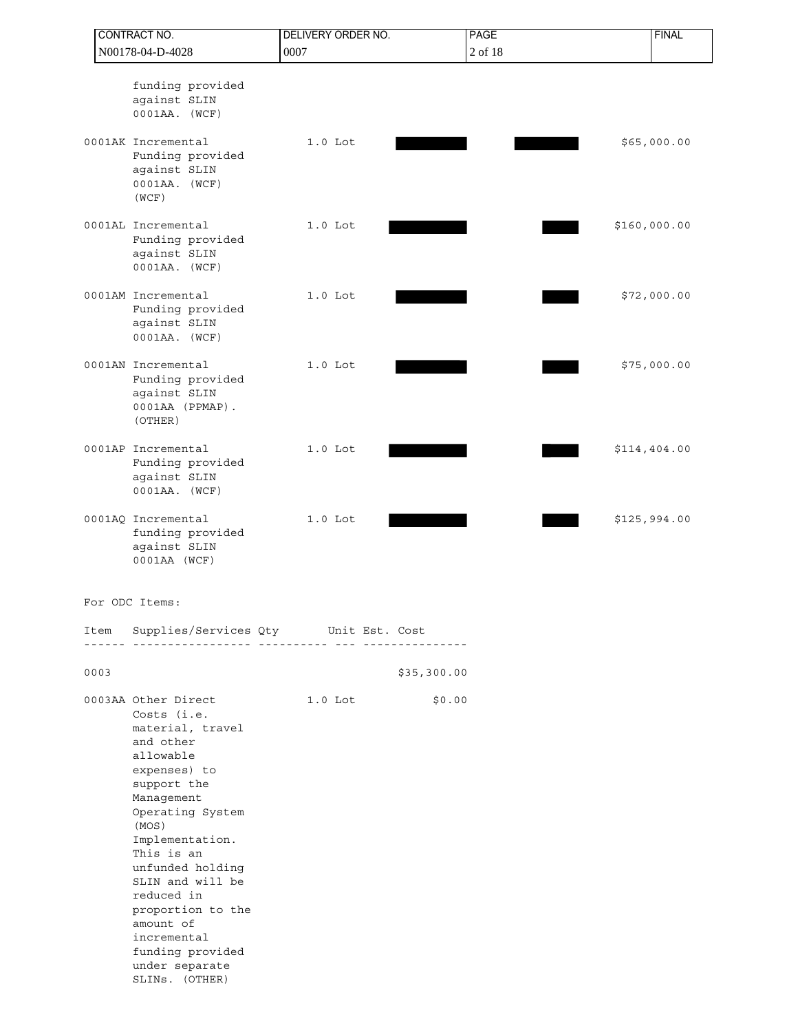|      | CONTRACT NO.                                                                                                                                                                                                                                                                                                                                               | <b>DELIVERY ORDER NO.</b> | <b>PAGE</b> | <b>FINAL</b> |
|------|------------------------------------------------------------------------------------------------------------------------------------------------------------------------------------------------------------------------------------------------------------------------------------------------------------------------------------------------------------|---------------------------|-------------|--------------|
|      | N00178-04-D-4028                                                                                                                                                                                                                                                                                                                                           | 0007                      | 2 of 18     |              |
|      | funding provided<br>against SLIN<br>0001AA. (WCF)                                                                                                                                                                                                                                                                                                          |                           |             |              |
|      | 0001AK Incremental<br>Funding provided<br>against SLIN<br>0001AA. (WCF)<br>(WCF)                                                                                                                                                                                                                                                                           | $1.0$ Lot                 |             | \$65,000.00  |
|      | 0001AL Incremental<br>Funding provided<br>against SLIN<br>0001AA. (WCF)                                                                                                                                                                                                                                                                                    | $1.0$ Lot                 |             | \$160,000.00 |
|      | 0001AM Incremental<br>Funding provided<br>against SLIN<br>0001AA. (WCF)                                                                                                                                                                                                                                                                                    | $1.0$ Lot                 |             | \$72,000.00  |
|      | 0001AN Incremental<br>Funding provided<br>against SLIN<br>0001AA (PPMAP).<br>(OTHER)                                                                                                                                                                                                                                                                       | $1.0$ Lot                 |             | \$75,000.00  |
|      | 0001AP Incremental<br>Funding provided<br>against SLIN<br>0001AA. (WCF)                                                                                                                                                                                                                                                                                    | $1.0$ Lot                 |             | \$114,404.00 |
|      | 0001AQ Incremental<br>funding provided<br>against SLIN<br>0001AA (WCF)                                                                                                                                                                                                                                                                                     | $1.0$ Lot                 |             | \$125,994.00 |
|      | For ODC Items:                                                                                                                                                                                                                                                                                                                                             |                           |             |              |
| Item | Supplies/Services Qty Unit Est. Cost                                                                                                                                                                                                                                                                                                                       |                           |             |              |
| 0003 |                                                                                                                                                                                                                                                                                                                                                            |                           | \$35,300.00 |              |
|      | 0003AA Other Direct<br>Costs (i.e.<br>material, travel<br>and other<br>allowable<br>expenses) to<br>support the<br>Management<br>Operating System<br>(MOS)<br>Implementation.<br>This is an<br>unfunded holding<br>SLIN and will be<br>reduced in<br>proportion to the<br>amount of<br>incremental<br>funding provided<br>under separate<br>SLINS. (OTHER) | $1.0$ Lot                 | \$0.00      |              |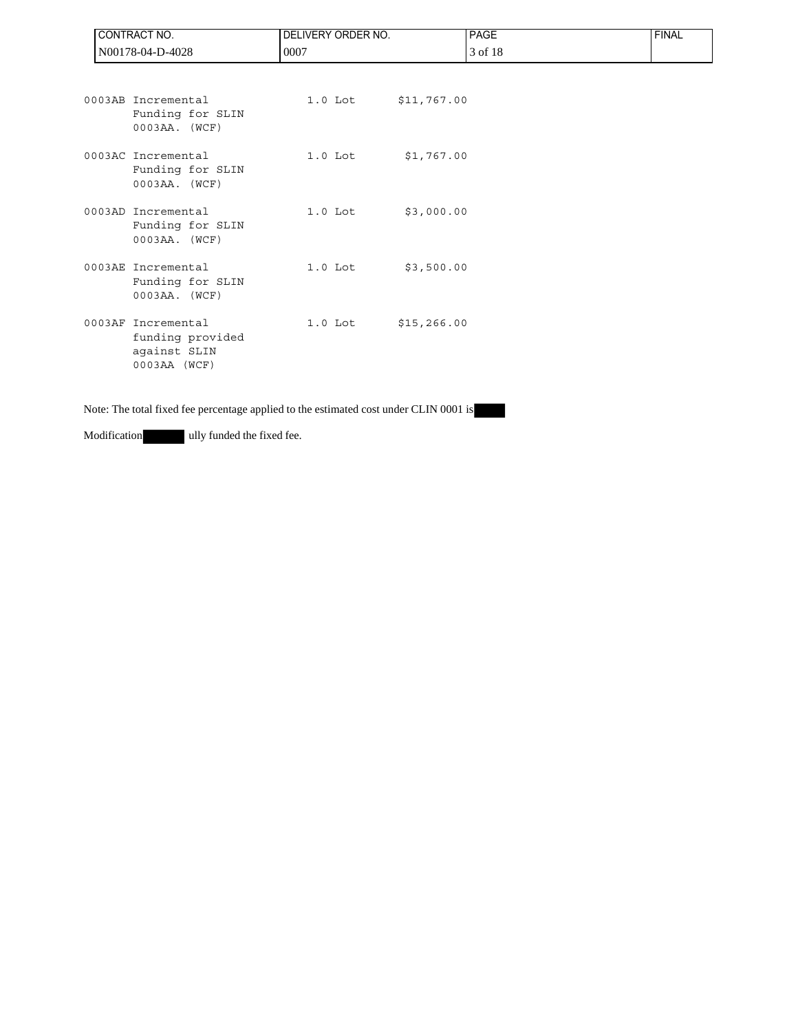| CONTRACT NO.                                                           | <b>DELIVERY ORDER NO.</b> |             | <b>PAGE</b> | <b>FINAL</b> |
|------------------------------------------------------------------------|---------------------------|-------------|-------------|--------------|
| N00178-04-D-4028                                                       | 0007                      |             | 3 of 18     |              |
| 0003AB Incremental<br>Funding for SLIN<br>$0003AA.$ (WCF)              | $1.0$ Lot                 | \$11,767.00 |             |              |
| 0003AC Incremental<br>Funding for SLIN<br>$0003AA.$ (WCF)              | $1.0$ Lot                 | \$1,767.00  |             |              |
| 0003AD Incremental<br>Funding for SLIN<br>$0003AA.$ (WCF)              | $1.0$ Lot                 | \$3,000.00  |             |              |
| 0003AE Incremental<br>Funding for SLIN<br>$0003AA.$ (WCF)              | $1.0$ Lot                 | \$3,500.00  |             |              |
| 0003AF Incremental<br>funding provided<br>against SLIN<br>0003AA (WCF) | 1.0 Lot \$15,266.00       |             |             |              |

Note: The total fixed fee percentage applied to the estimated cost under CLIN 0001 is

Modification ully funded the fixed fee.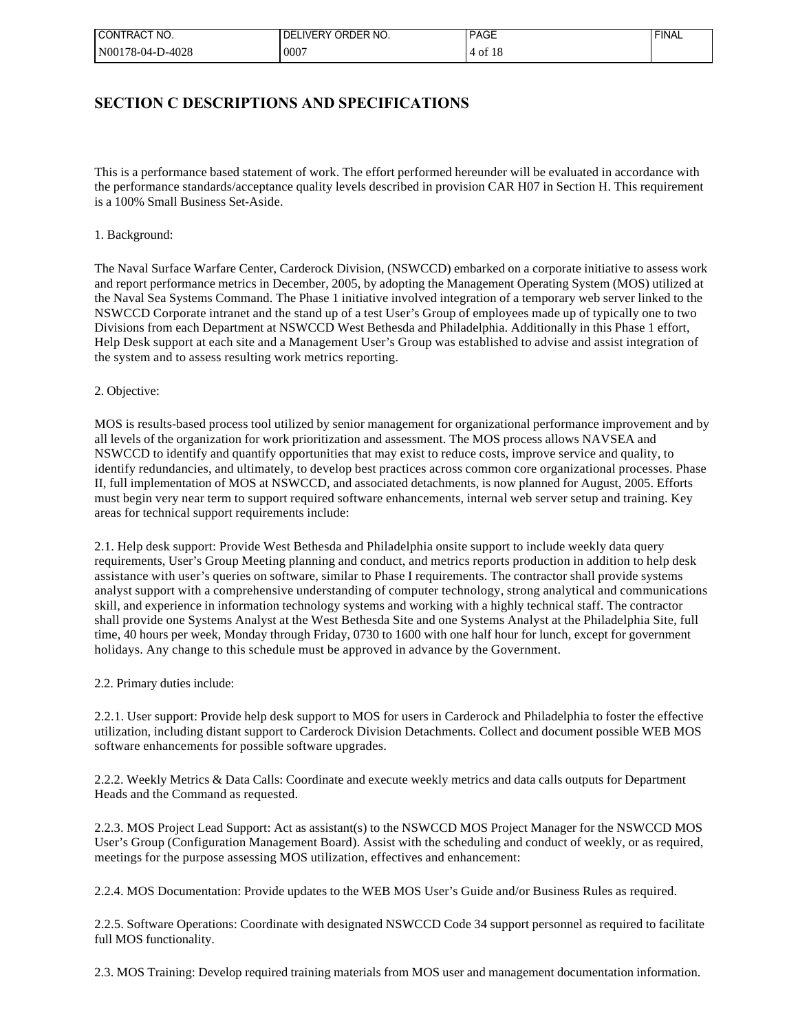| I CONTRACT NO.   | IVERY ORDER NO.<br>DF | <b>PAGE</b> | <b>FINAL</b> |
|------------------|-----------------------|-------------|--------------|
| N00178-04-D-4028 | $000^{-}$             | ΟĪ          |              |

## **SECTION C DESCRIPTIONS AND SPECIFICATIONS**

This is a performance based statement of work. The effort performed hereunder will be evaluated in accordance with the performance standards/acceptance quality levels described in provision CAR H07 in Section H. This requirement is a 100% Small Business Set-Aside.

## 1. Background:

The Naval Surface Warfare Center, Carderock Division, (NSWCCD) embarked on a corporate initiative to assess work and report performance metrics in December, 2005, by adopting the Management Operating System (MOS) utilized at the Naval Sea Systems Command. The Phase 1 initiative involved integration of a temporary web server linked to the NSWCCD Corporate intranet and the stand up of a test User's Group of employees made up of typically one to two Divisions from each Department at NSWCCD West Bethesda and Philadelphia. Additionally in this Phase 1 effort, Help Desk support at each site and a Management User's Group was established to advise and assist integration of the system and to assess resulting work metrics reporting.

### 2. Objective:

MOS is results-based process tool utilized by senior management for organizational performance improvement and by all levels of the organization for work prioritization and assessment. The MOS process allows NAVSEA and NSWCCD to identify and quantify opportunities that may exist to reduce costs, improve service and quality, to identify redundancies, and ultimately, to develop best practices across common core organizational processes. Phase II, full implementation of MOS at NSWCCD, and associated detachments, is now planned for August, 2005. Efforts must begin very near term to support required software enhancements, internal web server setup and training. Key areas for technical support requirements include:

2.1. Help desk support: Provide West Bethesda and Philadelphia onsite support to include weekly data query requirements, User's Group Meeting planning and conduct, and metrics reports production in addition to help desk assistance with user's queries on software, similar to Phase I requirements. The contractor shall provide systems analyst support with a comprehensive understanding of computer technology, strong analytical and communications skill, and experience in information technology systems and working with a highly technical staff. The contractor shall provide one Systems Analyst at the West Bethesda Site and one Systems Analyst at the Philadelphia Site, full time, 40 hours per week, Monday through Friday, 0730 to 1600 with one half hour for lunch, except for government holidays. Any change to this schedule must be approved in advance by the Government.

### 2.2. Primary duties include:

2.2.1. User support: Provide help desk support to MOS for users in Carderock and Philadelphia to foster the effective utilization, including distant support to Carderock Division Detachments. Collect and document possible WEB MOS software enhancements for possible software upgrades.

2.2.2. Weekly Metrics & Data Calls: Coordinate and execute weekly metrics and data calls outputs for Department Heads and the Command as requested.

2.2.3. MOS Project Lead Support: Act as assistant(s) to the NSWCCD MOS Project Manager for the NSWCCD MOS User's Group (Configuration Management Board). Assist with the scheduling and conduct of weekly, or as required, meetings for the purpose assessing MOS utilization, effectives and enhancement:

2.2.4. MOS Documentation: Provide updates to the WEB MOS User's Guide and/or Business Rules as required.

2.2.5. Software Operations: Coordinate with designated NSWCCD Code 34 support personnel as required to facilitate full MOS functionality.

2.3. MOS Training: Develop required training materials from MOS user and management documentation information.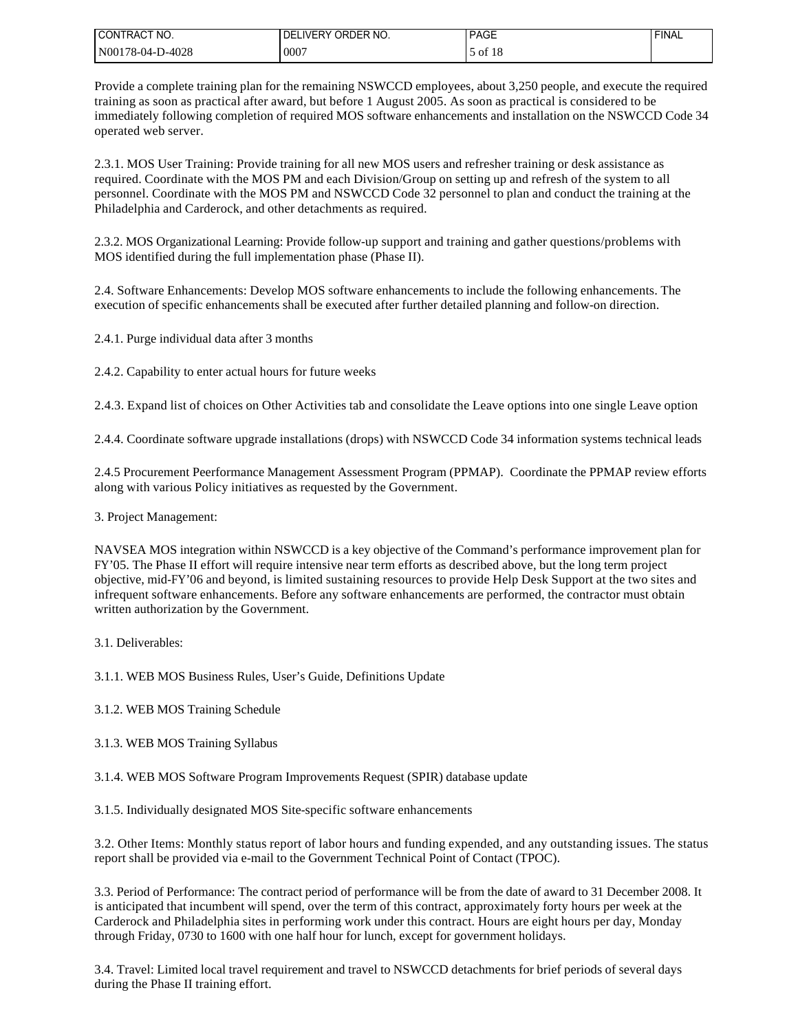| I CONTRACT NO.   | <b>IVERY ORDER NO.</b><br>DF | <b>PAGE</b> | <b>FINAL</b> |
|------------------|------------------------------|-------------|--------------|
| N00178-04-D-4028 | .0007                        | of $18$     |              |

Provide a complete training plan for the remaining NSWCCD employees, about 3,250 people, and execute the required training as soon as practical after award, but before 1 August 2005. As soon as practical is considered to be immediately following completion of required MOS software enhancements and installation on the NSWCCD Code 34 operated web server.

2.3.1. MOS User Training: Provide training for all new MOS users and refresher training or desk assistance as required. Coordinate with the MOS PM and each Division/Group on setting up and refresh of the system to all personnel. Coordinate with the MOS PM and NSWCCD Code 32 personnel to plan and conduct the training at the Philadelphia and Carderock, and other detachments as required.

2.3.2. MOS Organizational Learning: Provide follow-up support and training and gather questions/problems with MOS identified during the full implementation phase (Phase II).

2.4. Software Enhancements: Develop MOS software enhancements to include the following enhancements. The execution of specific enhancements shall be executed after further detailed planning and follow-on direction.

2.4.1. Purge individual data after 3 months

2.4.2. Capability to enter actual hours for future weeks

2.4.3. Expand list of choices on Other Activities tab and consolidate the Leave options into one single Leave option

2.4.4. Coordinate software upgrade installations (drops) with NSWCCD Code 34 information systems technical leads

2.4.5 Procurement Peerformance Management Assessment Program (PPMAP). Coordinate the PPMAP review efforts along with various Policy initiatives as requested by the Government.

3. Project Management:

NAVSEA MOS integration within NSWCCD is a key objective of the Command's performance improvement plan for FY'05. The Phase II effort will require intensive near term efforts as described above, but the long term project objective, mid-FY'06 and beyond, is limited sustaining resources to provide Help Desk Support at the two sites and infrequent software enhancements. Before any software enhancements are performed, the contractor must obtain written authorization by the Government.

3.1. Deliverables:

3.1.1. WEB MOS Business Rules, User's Guide, Definitions Update

3.1.2. WEB MOS Training Schedule

3.1.3. WEB MOS Training Syllabus

3.1.4. WEB MOS Software Program Improvements Request (SPIR) database update

3.1.5. Individually designated MOS Site-specific software enhancements

3.2. Other Items: Monthly status report of labor hours and funding expended, and any outstanding issues. The status report shall be provided via e-mail to the Government Technical Point of Contact (TPOC).

3.3. Period of Performance: The contract period of performance will be from the date of award to 31 December 2008. It is anticipated that incumbent will spend, over the term of this contract, approximately forty hours per week at the Carderock and Philadelphia sites in performing work under this contract. Hours are eight hours per day, Monday through Friday, 0730 to 1600 with one half hour for lunch, except for government holidays.

3.4. Travel: Limited local travel requirement and travel to NSWCCD detachments for brief periods of several days during the Phase II training effort.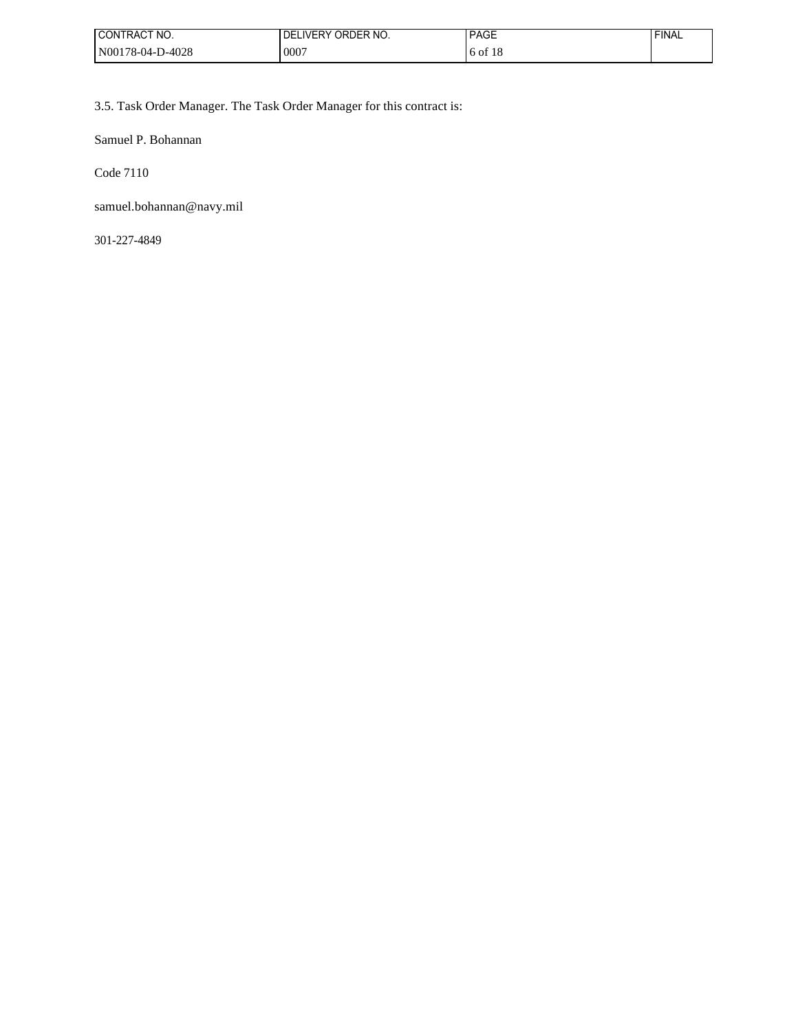| I CONTRACT NO.   | <b>IVERY ORDER NO.</b><br>DF | <b>PAGE</b> | <b>FINAL</b> |
|------------------|------------------------------|-------------|--------------|
| N00178-04-D-4028 | 0007                         | 6 of 18     |              |

3.5. Task Order Manager. The Task Order Manager for this contract is:

Samuel P. Bohannan

Code 7110

samuel.bohannan@navy.mil

301-227-4849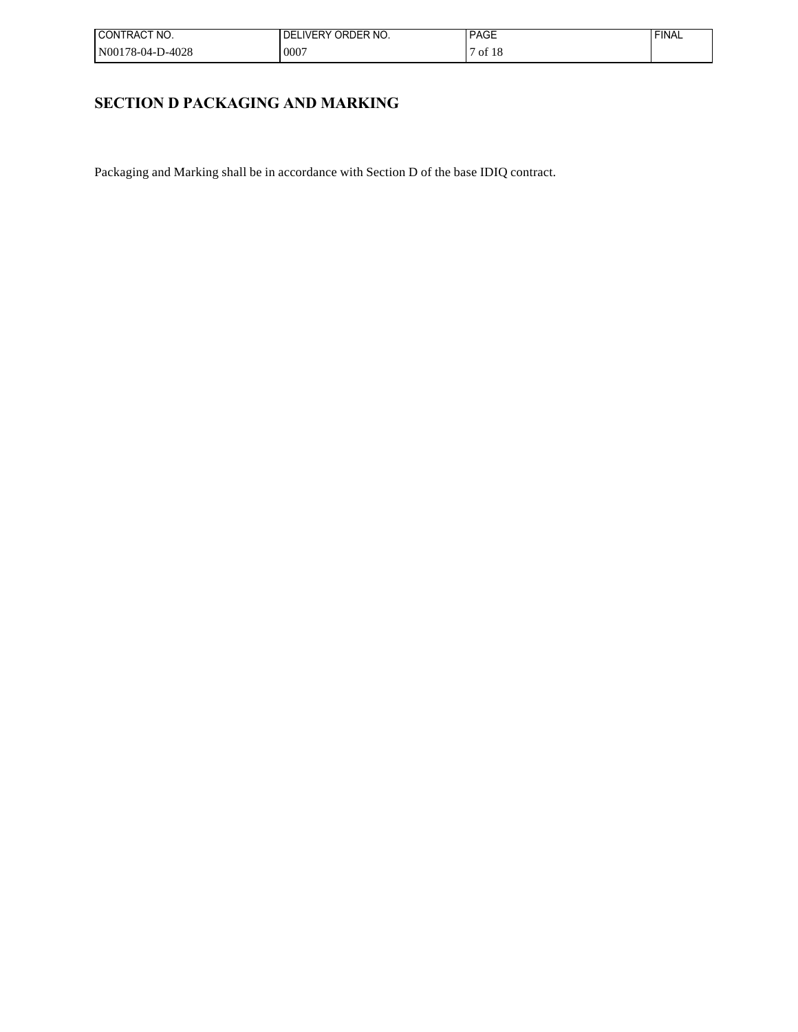| I CONTRACT NO.   | LIVERY ORDER NO.<br>DF | <b>PAGE</b>  | FINAL |
|------------------|------------------------|--------------|-------|
| N00178-04-D-4028 | 10007                  | of 18<br>-10 |       |

# **SECTION D PACKAGING AND MARKING**

Packaging and Marking shall be in accordance with Section D of the base IDIQ contract.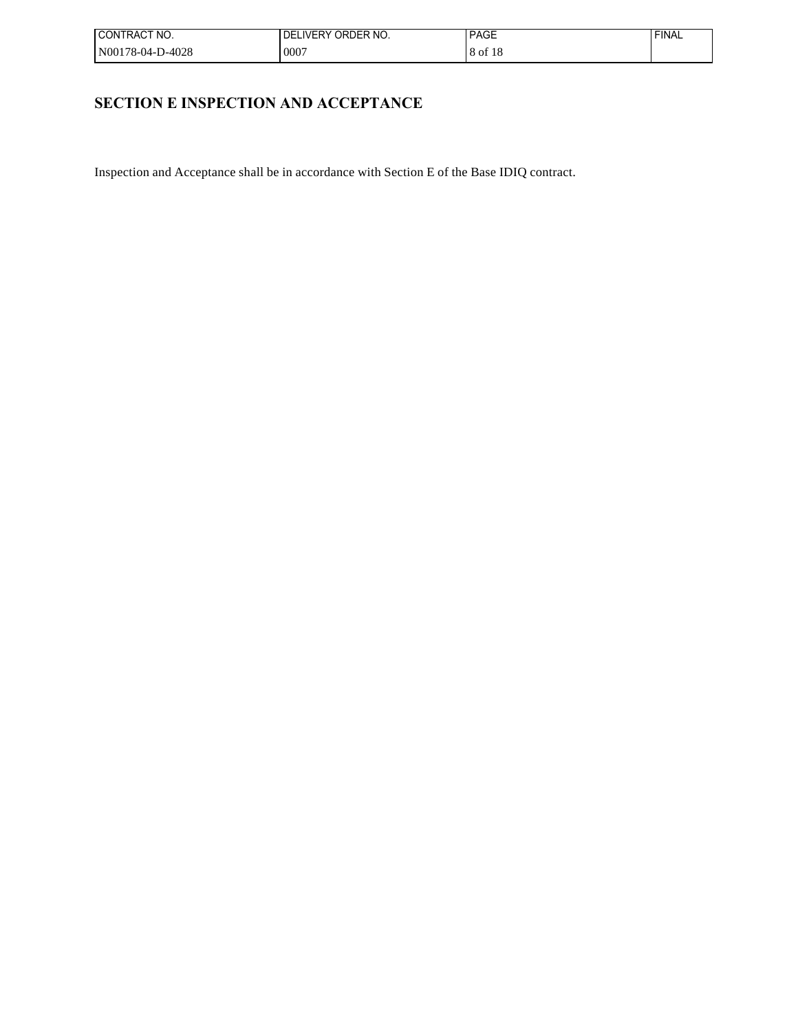| I CONTRACT NO.   | LIVERY ORDER NO.<br>DEI | <b>PAGE</b>    | FINAL |
|------------------|-------------------------|----------------|-------|
| N00178-04-D-4028 | .0007                   | 8 of 18<br>-10 |       |

# **SECTION E INSPECTION AND ACCEPTANCE**

Inspection and Acceptance shall be in accordance with Section E of the Base IDIQ contract.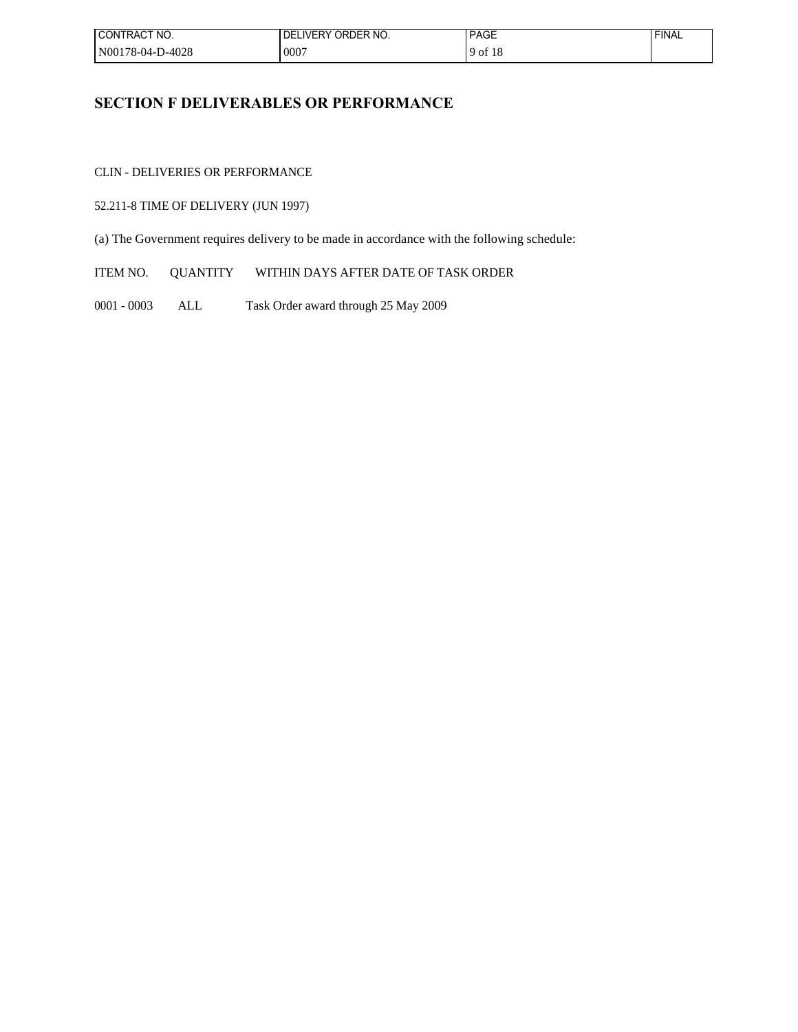| I CONTRACT NO.   | FLIVERY ORDER NO.<br>DEL | <b>PAGE</b> | <b>FINAL</b> |
|------------------|--------------------------|-------------|--------------|
| N00178-04-D-4028 | 0007                     | $9$ of 18   |              |

# **SECTION F DELIVERABLES OR PERFORMANCE**

CLIN - DELIVERIES OR PERFORMANCE

## 52.211-8 TIME OF DELIVERY (JUN 1997)

(a) The Government requires delivery to be made in accordance with the following schedule:

ITEM NO. QUANTITY WITHIN DAYS AFTER DATE OF TASK ORDER

0001 - 0003 ALL Task Order award through 25 May 2009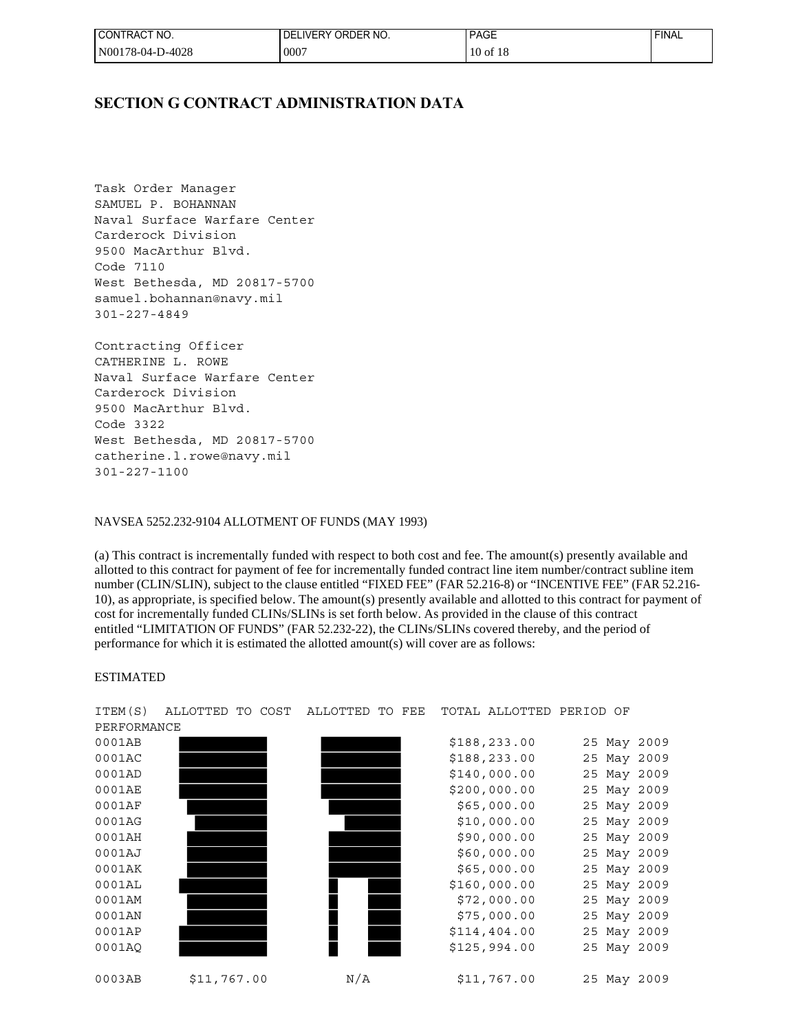| I CONTRACT NO.   | ELIVERY ORDER NO.<br>DEI | <b>PAGE</b>  | <b>FINAL</b> |
|------------------|--------------------------|--------------|--------------|
| N00178-04-D-4028 | $000^-$                  | $10$ of $18$ |              |

## **SECTION G CONTRACT ADMINISTRATION DATA**

Task Order Manager SAMUEL P. BOHANNAN Naval Surface Warfare Center Carderock Division 9500 MacArthur Blvd. Code 7110 West Bethesda, MD 20817-5700 samuel.bohannan@navy.mil 301-227-4849

Contracting Officer CATHERINE L. ROWE Naval Surface Warfare Center Carderock Division 9500 MacArthur Blvd. Code 3322 West Bethesda, MD 20817-5700 catherine.l.rowe@navy.mil 301-227-1100

### NAVSEA 5252.232-9104 ALLOTMENT OF FUNDS (MAY 1993)

(a) This contract is incrementally funded with respect to both cost and fee. The amount(s) presently available and allotted to this contract for payment of fee for incrementally funded contract line item number/contract subline item number (CLIN/SLIN), subject to the clause entitled "FIXED FEE" (FAR 52.216-8) or "INCENTIVE FEE" (FAR 52.216- 10), as appropriate, is specified below. The amount(s) presently available and allotted to this contract for payment of cost for incrementally funded CLINs/SLINs is set forth below. As provided in the clause of this contract entitled "LIMITATION OF FUNDS" (FAR 52.232-22), the CLINs/SLINs covered thereby, and the period of performance for which it is estimated the allotted amount(s) will cover are as follows:

#### ESTIMATED

PERFORMANCE

0001AB \$188,233.00 25 May 2009 0001AC \$188,233.00 25 May 2009 0001AD \$140,000.00 25 May 2009 0001AE \$200,000.00 25 May 2009 0001AF \$65,000.00 25 May 2009 0001AG \$10,000.00 25 May 2009 0001AH \$90,000.00 25 May 2009 0001AJ \$60,000.00 25 May 2009 0001AK \$65,000.00 25 May 2009 0001AL \$160,000.00 25 May 2009 0001AM \$72,000.00 25 May 2009 0001AN \$75,000.00 25 May 2009 0001AP \$114,404.00 25 May 2009 0001AQ \$125,994.00 25 May 2009 0003AB \$11,767.00 N/A \$11,767.00 25 May 2009

ITEM(S) ALLOTTED TO COST ALLOTTED TO FEE TOTAL ALLOTTED PERIOD OF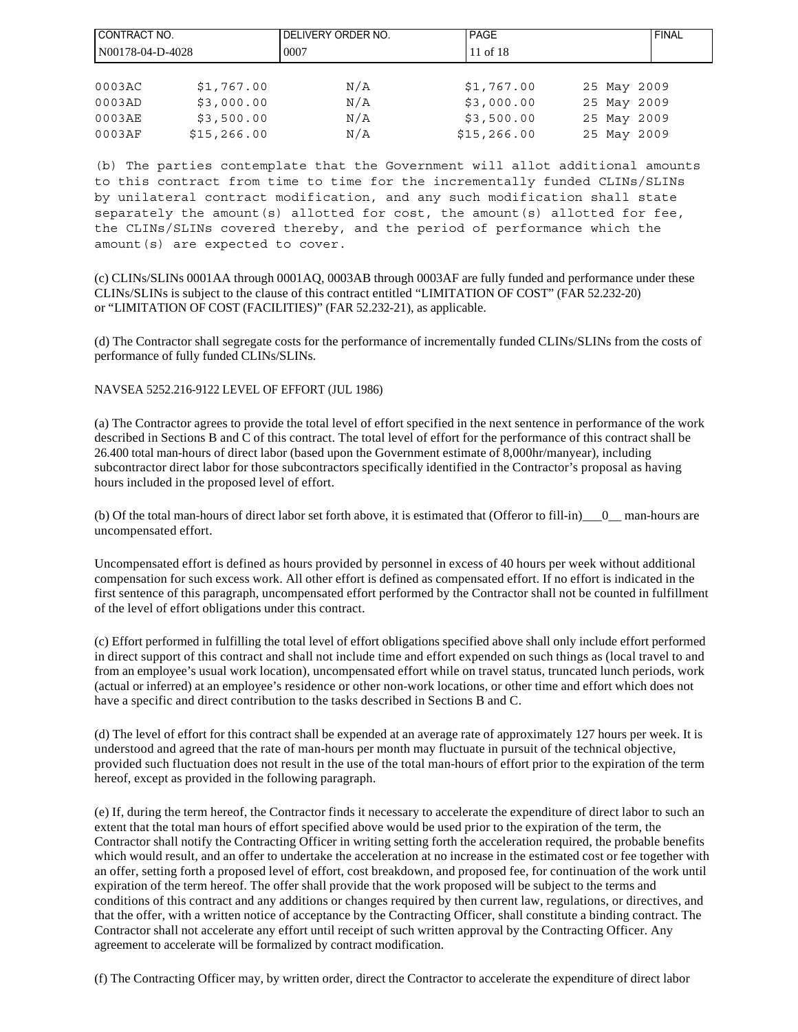| CONTRACT NO.       |              | I DELIVERY ORDER NO. | <b>IPAGE</b> | <b>FINAL</b> |
|--------------------|--------------|----------------------|--------------|--------------|
| $N00178-04-D-4028$ |              | 0007                 | 11 of 18     |              |
|                    |              |                      |              |              |
| 0003AC             | \$1,767.00   | N/A                  | \$1,767.00   | 25 May 2009  |
| 0003AD             | \$3,000.00   | N/A                  | \$3,000.00   | 25 May 2009  |
| 0003AE             | \$3,500.00   | N/A                  | \$3,500.00   | 25 May 2009  |
| 0003AF             | \$15, 266.00 | N/A                  | \$15, 266.00 | 25 May 2009  |

(b) The parties contemplate that the Government will allot additional amounts to this contract from time to time for the incrementally funded CLINs/SLINs by unilateral contract modification, and any such modification shall state separately the amount(s) allotted for cost, the amount(s) allotted for fee, the CLINs/SLINs covered thereby, and the period of performance which the amount(s) are expected to cover.

(c) CLINs/SLINs 0001AA through 0001AQ, 0003AB through 0003AF are fully funded and performance under these CLINs/SLINs is subject to the clause of this contract entitled "LIMITATION OF COST" (FAR 52.232-20) or "LIMITATION OF COST (FACILITIES)" (FAR 52.232-21), as applicable.

(d) The Contractor shall segregate costs for the performance of incrementally funded CLINs/SLINs from the costs of performance of fully funded CLINs/SLINs.

### NAVSEA 5252.216-9122 LEVEL OF EFFORT (JUL 1986)

(a) The Contractor agrees to provide the total level of effort specified in the next sentence in performance of the work described in Sections B and C of this contract. The total level of effort for the performance of this contract shall be 26.400 total man-hours of direct labor (based upon the Government estimate of 8,000hr/manyear), including subcontractor direct labor for those subcontractors specifically identified in the Contractor's proposal as having hours included in the proposed level of effort.

(b) Of the total man-hours of direct labor set forth above, it is estimated that (Offeror to fill-in)\_\_\_0\_\_ man-hours are uncompensated effort.

Uncompensated effort is defined as hours provided by personnel in excess of 40 hours per week without additional compensation for such excess work. All other effort is defined as compensated effort. If no effort is indicated in the first sentence of this paragraph, uncompensated effort performed by the Contractor shall not be counted in fulfillment of the level of effort obligations under this contract.

(c) Effort performed in fulfilling the total level of effort obligations specified above shall only include effort performed in direct support of this contract and shall not include time and effort expended on such things as (local travel to and from an employee's usual work location), uncompensated effort while on travel status, truncated lunch periods, work (actual or inferred) at an employee's residence or other non-work locations, or other time and effort which does not have a specific and direct contribution to the tasks described in Sections B and C.

(d) The level of effort for this contract shall be expended at an average rate of approximately 127 hours per week. It is understood and agreed that the rate of man-hours per month may fluctuate in pursuit of the technical objective, provided such fluctuation does not result in the use of the total man-hours of effort prior to the expiration of the term hereof, except as provided in the following paragraph.

(e) If, during the term hereof, the Contractor finds it necessary to accelerate the expenditure of direct labor to such an extent that the total man hours of effort specified above would be used prior to the expiration of the term, the Contractor shall notify the Contracting Officer in writing setting forth the acceleration required, the probable benefits which would result, and an offer to undertake the acceleration at no increase in the estimated cost or fee together with an offer, setting forth a proposed level of effort, cost breakdown, and proposed fee, for continuation of the work until expiration of the term hereof. The offer shall provide that the work proposed will be subject to the terms and conditions of this contract and any additions or changes required by then current law, regulations, or directives, and that the offer, with a written notice of acceptance by the Contracting Officer, shall constitute a binding contract. The Contractor shall not accelerate any effort until receipt of such written approval by the Contracting Officer. Any agreement to accelerate will be formalized by contract modification.

(f) The Contracting Officer may, by written order, direct the Contractor to accelerate the expenditure of direct labor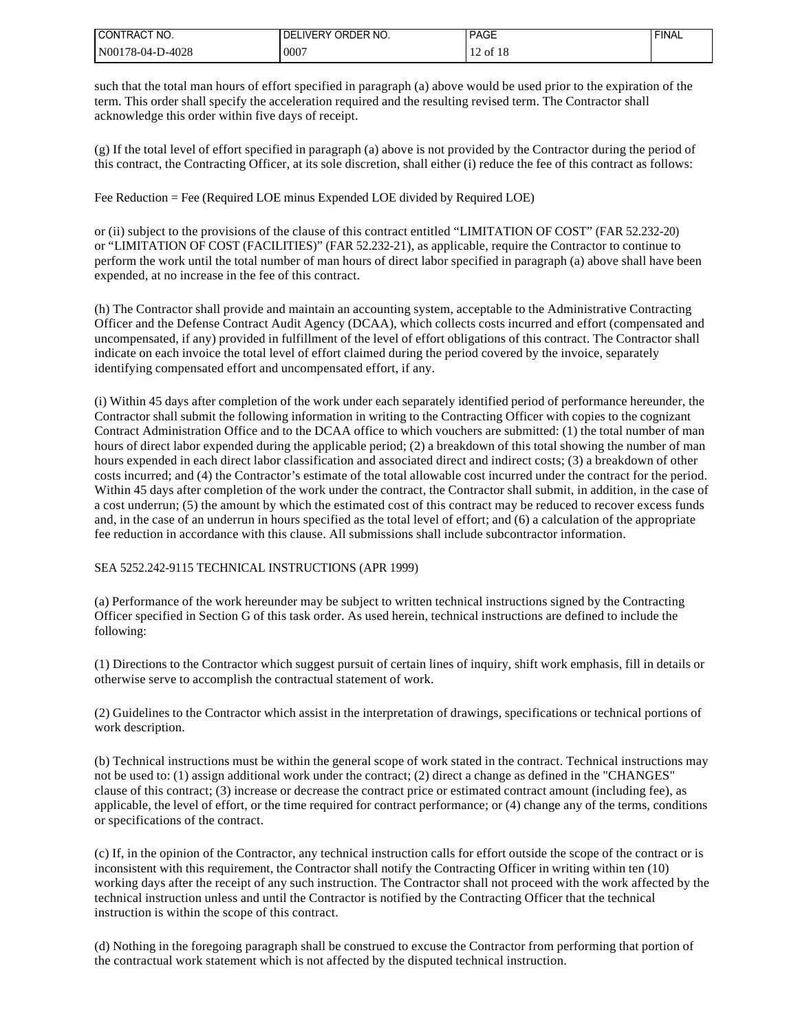| I CONTRACT NO.                | <b>IVERY ORDER NO.</b><br>DFI | <b>PAGE</b>                                                         | <b>FINAL</b> |
|-------------------------------|-------------------------------|---------------------------------------------------------------------|--------------|
| <b>D-4028</b><br>'N00178-04-L | 0007                          | c <sub>1</sub> c<br>$\sim$<br>` O<br>-10<br>$\overline{1}$<br>_____ |              |

such that the total man hours of effort specified in paragraph (a) above would be used prior to the expiration of the term. This order shall specify the acceleration required and the resulting revised term. The Contractor shall acknowledge this order within five days of receipt.

(g) If the total level of effort specified in paragraph (a) above is not provided by the Contractor during the period of this contract, the Contracting Officer, at its sole discretion, shall either (i) reduce the fee of this contract as follows:

Fee Reduction = Fee (Required LOE minus Expended LOE divided by Required LOE)

or (ii) subject to the provisions of the clause of this contract entitled "LIMITATION OF COST" (FAR 52.232-20) or "LIMITATION OF COST (FACILITIES)" (FAR 52.232-21), as applicable, require the Contractor to continue to perform the work until the total number of man hours of direct labor specified in paragraph (a) above shall have been expended, at no increase in the fee of this contract.

(h) The Contractor shall provide and maintain an accounting system, acceptable to the Administrative Contracting Officer and the Defense Contract Audit Agency (DCAA), which collects costs incurred and effort (compensated and uncompensated, if any) provided in fulfillment of the level of effort obligations of this contract. The Contractor shall indicate on each invoice the total level of effort claimed during the period covered by the invoice, separately identifying compensated effort and uncompensated effort, if any.

(i) Within 45 days after completion of the work under each separately identified period of performance hereunder, the Contractor shall submit the following information in writing to the Contracting Officer with copies to the cognizant Contract Administration Office and to the DCAA office to which vouchers are submitted: (1) the total number of man hours of direct labor expended during the applicable period; (2) a breakdown of this total showing the number of man hours expended in each direct labor classification and associated direct and indirect costs; (3) a breakdown of other costs incurred; and (4) the Contractor's estimate of the total allowable cost incurred under the contract for the period. Within 45 days after completion of the work under the contract, the Contractor shall submit, in addition, in the case of a cost underrun; (5) the amount by which the estimated cost of this contract may be reduced to recover excess funds and, in the case of an underrun in hours specified as the total level of effort; and (6) a calculation of the appropriate fee reduction in accordance with this clause. All submissions shall include subcontractor information.

### SEA 5252.242-9115 TECHNICAL INSTRUCTIONS (APR 1999)

(a) Performance of the work hereunder may be subject to written technical instructions signed by the Contracting Officer specified in Section G of this task order. As used herein, technical instructions are defined to include the following:

(1) Directions to the Contractor which suggest pursuit of certain lines of inquiry, shift work emphasis, fill in details or otherwise serve to accomplish the contractual statement of work.

(2) Guidelines to the Contractor which assist in the interpretation of drawings, specifications or technical portions of work description.

(b) Technical instructions must be within the general scope of work stated in the contract. Technical instructions may not be used to: (1) assign additional work under the contract; (2) direct a change as defined in the "CHANGES" clause of this contract; (3) increase or decrease the contract price or estimated contract amount (including fee), as applicable, the level of effort, or the time required for contract performance; or (4) change any of the terms, conditions or specifications of the contract.

(c) If, in the opinion of the Contractor, any technical instruction calls for effort outside the scope of the contract or is inconsistent with this requirement, the Contractor shall notify the Contracting Officer in writing within ten (10) working days after the receipt of any such instruction. The Contractor shall not proceed with the work affected by the technical instruction unless and until the Contractor is notified by the Contracting Officer that the technical instruction is within the scope of this contract.

(d) Nothing in the foregoing paragraph shall be construed to excuse the Contractor from performing that portion of the contractual work statement which is not affected by the disputed technical instruction.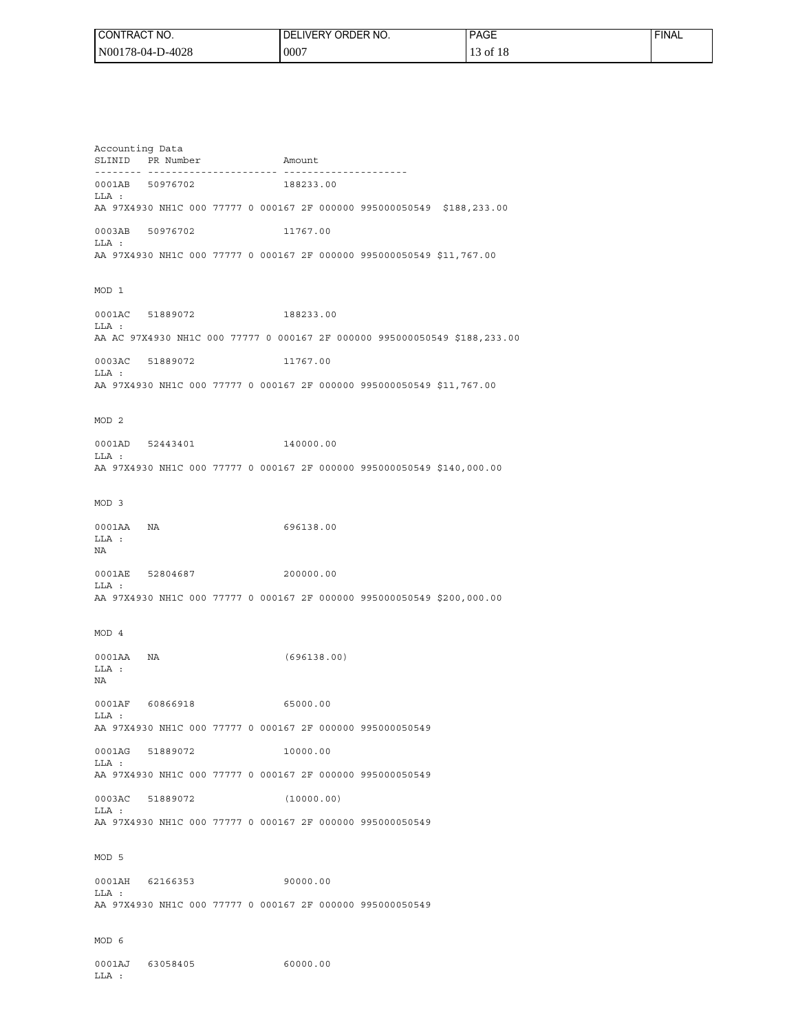| I CONTRACT NO.   | I DELIVERY ORDER NO. | <b>PAGE</b>             | <b>FINAL</b> |
|------------------|----------------------|-------------------------|--------------|
| N00178-04-D-4028 | 0007 ن               | of $18$<br>$1^{\prime}$ |              |

Accounting Data SLINID PR Number Amount -------- ---------------------- --------------------- 0001AB 50976702 188233.00 LLA : AA 97X4930 NH1C 000 77777 0 000167 2F 000000 995000050549 \$188,233.00 0003AB 50976702 11767.00 LLA : AA 97X4930 NH1C 000 77777 0 000167 2F 000000 995000050549 \$11,767.00 MOD 1 0001AC 51889072 188233.00 LLA : AA AC 97X4930 NH1C 000 77777 0 000167 2F 000000 995000050549 \$188,233.00 0003AC 51889072 11767.00 LLA : AA 97X4930 NH1C 000 77777 0 000167 2F 000000 995000050549 \$11,767.00 MOD 2 0001AD 52443401 140000.00 LLA : AA 97X4930 NH1C 000 77777 0 000167 2F 000000 995000050549 \$140,000.00 MOD 3 0001AA NA 696138.00 LLA : NA 0001AE 52804687 200000.00 LLA : AA 97X4930 NH1C 000 77777 0 000167 2F 000000 995000050549 \$200,000.00 MOD 4 0001AA NA (696138.00) LLA : NA 0001AF 60866918 65000.00 LLA : AA 97X4930 NH1C 000 77777 0 000167 2F 000000 995000050549 0001AG 51889072 10000.00 LLA : AA 97X4930 NH1C 000 77777 0 000167 2F 000000 995000050549 0003AC 51889072 (10000.00)  $T.T.A$  : AA 97X4930 NH1C 000 77777 0 000167 2F 000000 995000050549 MOD 5 0001AH 62166353 90000.00  $T.T.A$  : AA 97X4930 NH1C 000 77777 0 000167 2F 000000 995000050549 MOD 6 0001AJ 63058405 60000.00 LLA :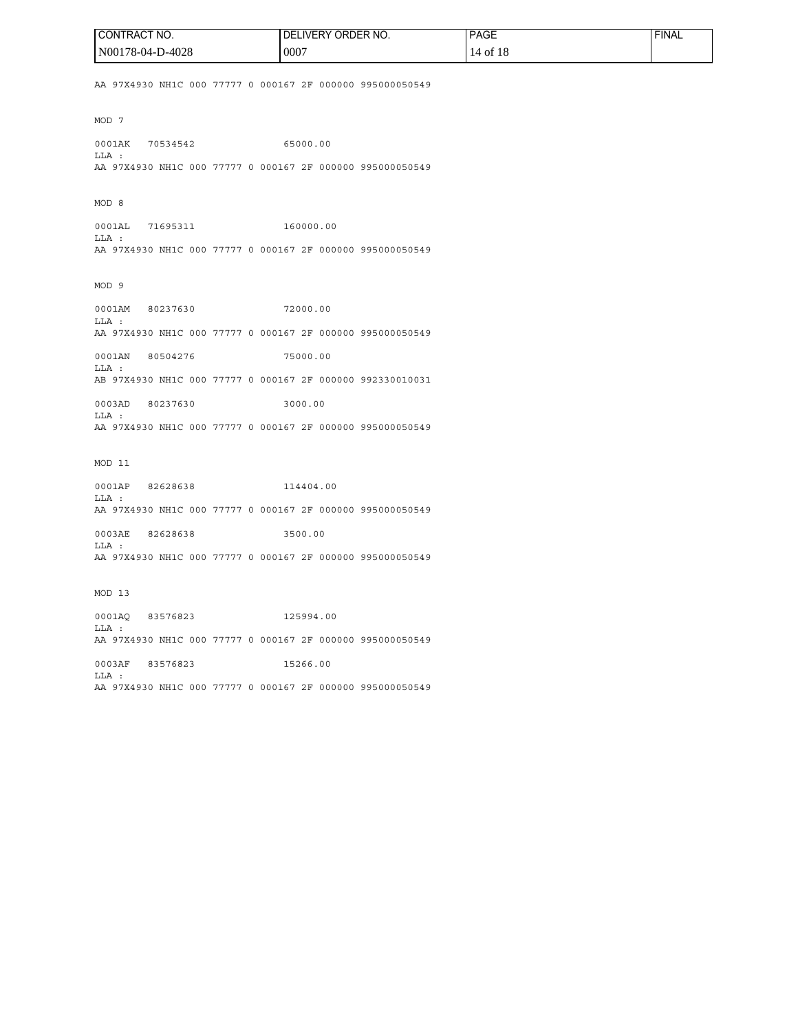| <b>I CONTRACT NO.</b> | ! DELIVERY ORDER NO. | <b>PAGE</b> | ' FINAL |
|-----------------------|----------------------|-------------|---------|
| N00178-04-D-4028      | 0007                 | 14 of 18    |         |

AA 97X4930 NH1C 000 77777 0 000167 2F 000000 995000050549

MOD 7

0001AK 70534542 65000.00 LLA : AA 97X4930 NH1C 000 77777 0 000167 2F 000000 995000050549

MOD 8

0001AL 71695311 160000.00 LLA : AA 97X4930 NH1C 000 77777 0 000167 2F 000000 995000050549

MOD 9

0001AM 80237630 72000.00 LLA : AA 97X4930 NH1C 000 77777 0 000167 2F 000000 995000050549

0001AN 80504276 75000.00 LLA : AB 97X4930 NH1C 000 77777 0 000167 2F 000000 992330010031

0003AD 80237630 3000.00 LLA : AA 97X4930 NH1C 000 77777 0 000167 2F 000000 995000050549

MOD 11

0001AP 82628638 114404.00 LLA : AA 97X4930 NH1C 000 77777 0 000167 2F 000000 995000050549

0003AE 82628638 3500.00 LLA : AA 97X4930 NH1C 000 77777 0 000167 2F 000000 995000050549

MOD 13

0001AQ 83576823 125994.00 LLA : AA 97X4930 NH1C 000 77777 0 000167 2F 000000 995000050549

0003AF 83576823 15266.00 LLA : AA 97X4930 NH1C 000 77777 0 000167 2F 000000 995000050549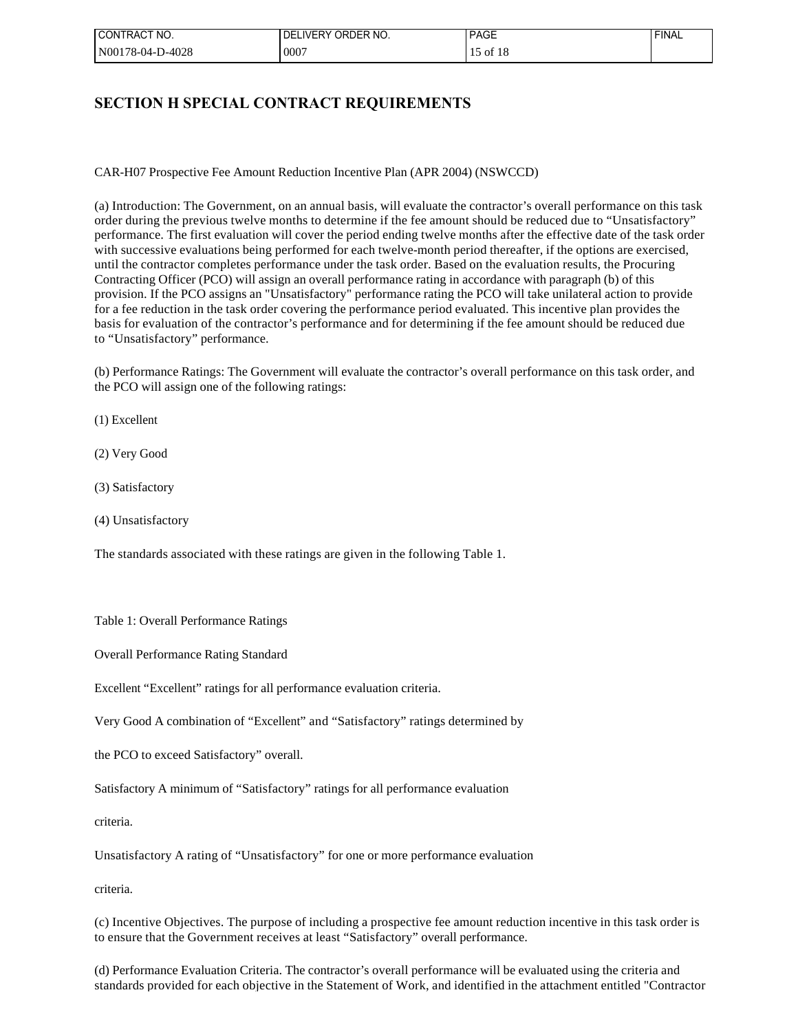| ' CONTRACT NO.   | LIVERY ORDER NO.<br>DEL | <b>PAGE</b> | 'FINAL |
|------------------|-------------------------|-------------|--------|
| N00178-04-D-4028 | .0007                   | of          |        |

## **SECTION H SPECIAL CONTRACT REQUIREMENTS**

CAR-H07 Prospective Fee Amount Reduction Incentive Plan (APR 2004) (NSWCCD)

(a) Introduction: The Government, on an annual basis, will evaluate the contractor's overall performance on this task order during the previous twelve months to determine if the fee amount should be reduced due to "Unsatisfactory" performance. The first evaluation will cover the period ending twelve months after the effective date of the task order with successive evaluations being performed for each twelve-month period thereafter, if the options are exercised, until the contractor completes performance under the task order. Based on the evaluation results, the Procuring Contracting Officer (PCO) will assign an overall performance rating in accordance with paragraph (b) of this provision. If the PCO assigns an "Unsatisfactory" performance rating the PCO will take unilateral action to provide for a fee reduction in the task order covering the performance period evaluated. This incentive plan provides the basis for evaluation of the contractor's performance and for determining if the fee amount should be reduced due to "Unsatisfactory" performance.

(b) Performance Ratings: The Government will evaluate the contractor's overall performance on this task order, and the PCO will assign one of the following ratings:

(1) Excellent

(2) Very Good

(3) Satisfactory

(4) Unsatisfactory

The standards associated with these ratings are given in the following Table 1.

Table 1: Overall Performance Ratings

Overall Performance Rating Standard

Excellent "Excellent" ratings for all performance evaluation criteria.

Very Good A combination of "Excellent" and "Satisfactory" ratings determined by

the PCO to exceed Satisfactory" overall.

Satisfactory A minimum of "Satisfactory" ratings for all performance evaluation

criteria.

Unsatisfactory A rating of "Unsatisfactory" for one or more performance evaluation

criteria.

(c) Incentive Objectives. The purpose of including a prospective fee amount reduction incentive in this task order is to ensure that the Government receives at least "Satisfactory" overall performance.

(d) Performance Evaluation Criteria. The contractor's overall performance will be evaluated using the criteria and standards provided for each objective in the Statement of Work, and identified in the attachment entitled "Contractor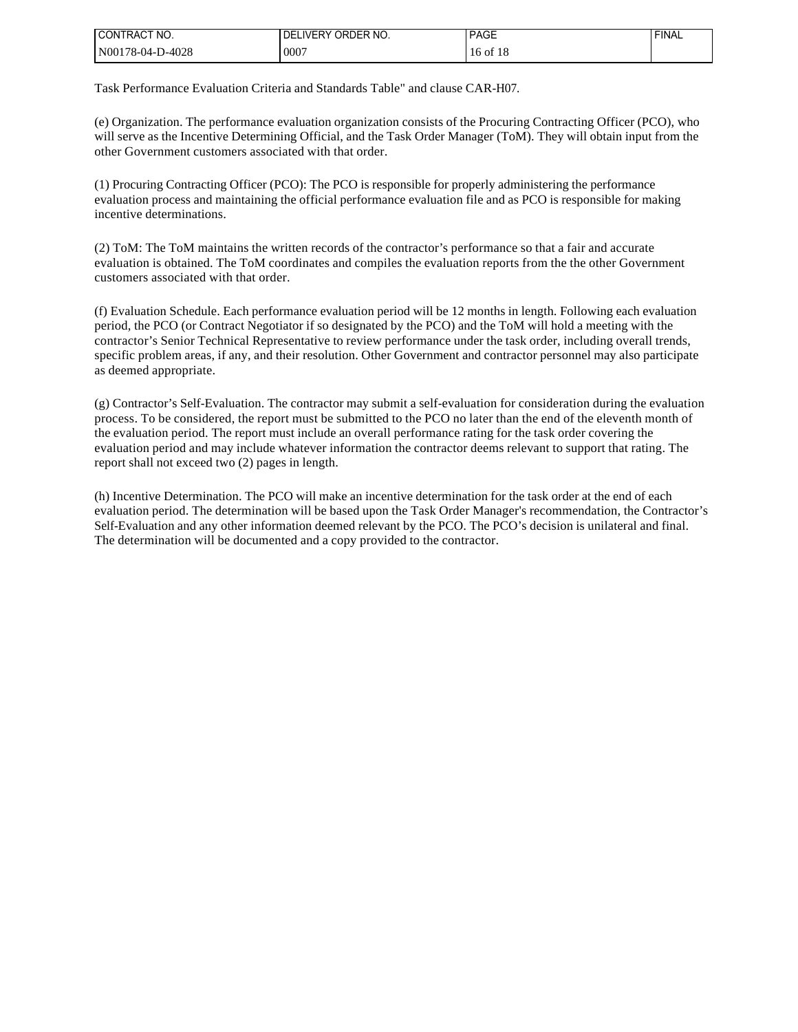| I CONTRACT NO.   | 'DELIVERY ORDER NO. | <b>PAGE</b>         | <b>FINAL</b> |
|------------------|---------------------|---------------------|--------------|
| N00178-04-D-4028 | 0007                | 6 of 18<br>I6<br>10 |              |

Task Performance Evaluation Criteria and Standards Table" and clause CAR-H07.

(e) Organization. The performance evaluation organization consists of the Procuring Contracting Officer (PCO), who will serve as the Incentive Determining Official, and the Task Order Manager (ToM). They will obtain input from the other Government customers associated with that order.

(1) Procuring Contracting Officer (PCO): The PCO is responsible for properly administering the performance evaluation process and maintaining the official performance evaluation file and as PCO is responsible for making incentive determinations.

(2) ToM: The ToM maintains the written records of the contractor's performance so that a fair and accurate evaluation is obtained. The ToM coordinates and compiles the evaluation reports from the the other Government customers associated with that order.

(f) Evaluation Schedule. Each performance evaluation period will be 12 months in length. Following each evaluation period, the PCO (or Contract Negotiator if so designated by the PCO) and the ToM will hold a meeting with the contractor's Senior Technical Representative to review performance under the task order, including overall trends, specific problem areas, if any, and their resolution. Other Government and contractor personnel may also participate as deemed appropriate.

(g) Contractor's Self-Evaluation. The contractor may submit a self-evaluation for consideration during the evaluation process. To be considered, the report must be submitted to the PCO no later than the end of the eleventh month of the evaluation period. The report must include an overall performance rating for the task order covering the evaluation period and may include whatever information the contractor deems relevant to support that rating. The report shall not exceed two (2) pages in length.

(h) Incentive Determination. The PCO will make an incentive determination for the task order at the end of each evaluation period. The determination will be based upon the Task Order Manager's recommendation, the Contractor's Self-Evaluation and any other information deemed relevant by the PCO. The PCO's decision is unilateral and final. The determination will be documented and a copy provided to the contractor.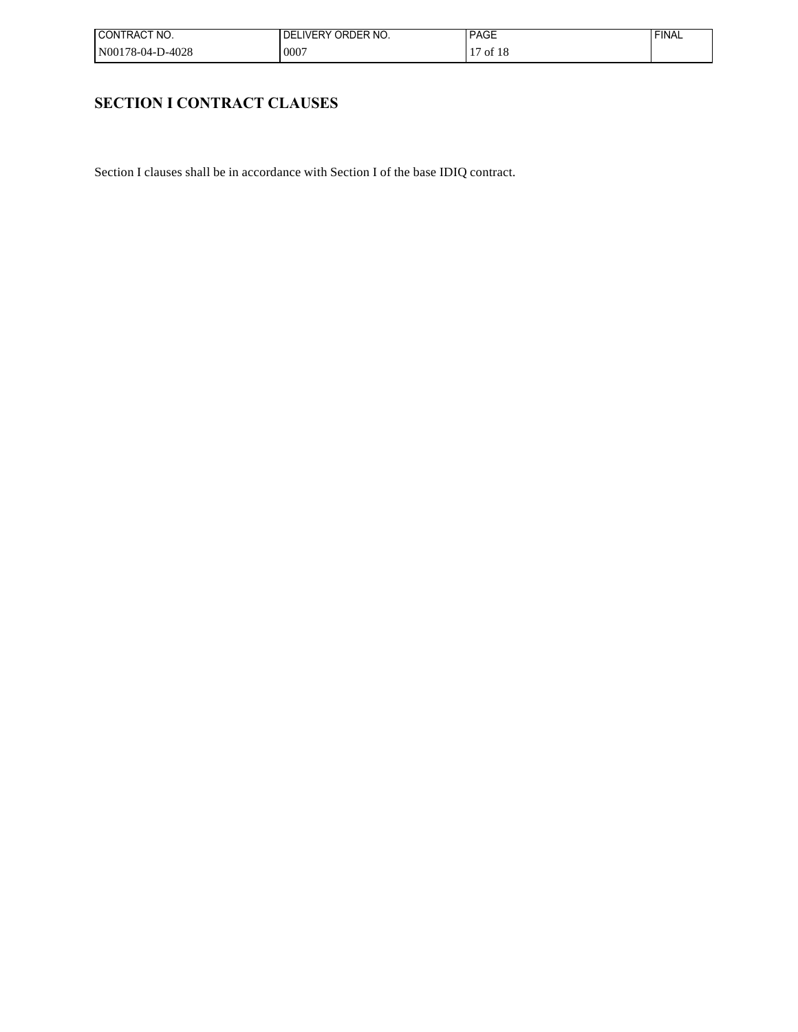| I CONTRACT NO.   | LIVERY ORDER NO.<br>DE | <b>PAGE</b>      | <b>FINAL</b> |
|------------------|------------------------|------------------|--------------|
| N00178-04-D-4028 | ,0007                  | of $18$<br>$1 -$ |              |

# **SECTION I CONTRACT CLAUSES**

Section I clauses shall be in accordance with Section I of the base IDIQ contract.